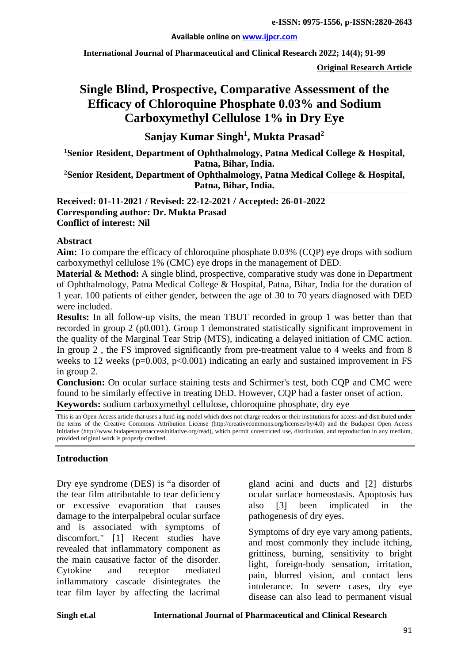#### **Available online on [www.ijpcr.com](http://www.ijpcr.com/)**

**International Journal of Pharmaceutical and Clinical Research 2022; 14(4); 91-99**

**Original Research Article**

# **Single Blind, Prospective, Comparative Assessment of the Efficacy of Chloroquine Phosphate 0.03% and Sodium Carboxymethyl Cellulose 1% in Dry Eye**

**Sanjay Kumar Singh1 , Mukta Prasad<sup>2</sup>**

**1 Senior Resident, Department of Ophthalmology, Patna Medical College & Hospital, Patna, Bihar, India.**

**2Senior Resident, Department of Ophthalmology, Patna Medical College & Hospital, Patna, Bihar, India.**

**Received: 01-11-2021 / Revised: 22-12-2021 / Accepted: 26-01-2022 Corresponding author: Dr. Mukta Prasad Conflict of interest: Nil**

### **Abstract**

**Aim:** To compare the efficacy of chloroquine phosphate 0.03% (CQP) eye drops with sodium carboxymethyl cellulose 1% (CMC) eye drops in the management of DED.

**Material & Method:** A single blind, prospective, comparative study was done in Department of Ophthalmology, Patna Medical College & Hospital, Patna, Bihar, India for the duration of 1 year. 100 patients of either gender, between the age of 30 to 70 years diagnosed with DED were included.

**Results:** In all follow-up visits, the mean TBUT recorded in group 1 was better than that recorded in group 2 (p0.001). Group 1 demonstrated statistically significant improvement in the quality of the Marginal Tear Strip (MTS), indicating a delayed initiation of CMC action. In group 2 , the FS improved significantly from pre-treatment value to 4 weeks and from 8 weeks to 12 weeks ( $p=0.003$ ,  $p<0.001$ ) indicating an early and sustained improvement in FS in group 2.

**Conclusion:** On ocular surface staining tests and Schirmer's test, both CQP and CMC were found to be similarly effective in treating DED. However, CQP had a faster onset of action. **Keywords:** sodium carboxymethyl cellulose, chloroquine phosphate, dry eye

This is an Open Access article that uses a fund-ing model which does not charge readers or their institutions for access and distributed under the terms of the Creative Commons Attribution License (http://creativecommons.org/licenses/by/4.0) and the Budapest Open Access Initiative (http://www.budapestopenaccessinitiative.org/read), which permit unrestricted use, distribution, and reproduction in any medium, provided original work is properly credited.

## **Introduction**

Dry eye syndrome (DES) is "a disorder of the tear film attributable to tear deficiency or excessive evaporation that causes damage to the interpalpebral ocular surface and is associated with symptoms of discomfort." [1] Recent studies have revealed that inflammatory component as the main causative factor of the disorder. Cytokine and receptor mediated inflammatory cascade disintegrates the tear film layer by affecting the lacrimal gland acini and ducts and [2] disturbs ocular surface homeostasis. Apoptosis has also [3] been implicated in the pathogenesis of dry eyes.

Symptoms of dry eye vary among patients, and most commonly they include itching, grittiness, burning, sensitivity to bright light, foreign-body sensation, irritation, pain, blurred vision, and contact lens intolerance. In severe cases, dry eye disease can also lead to permanent visual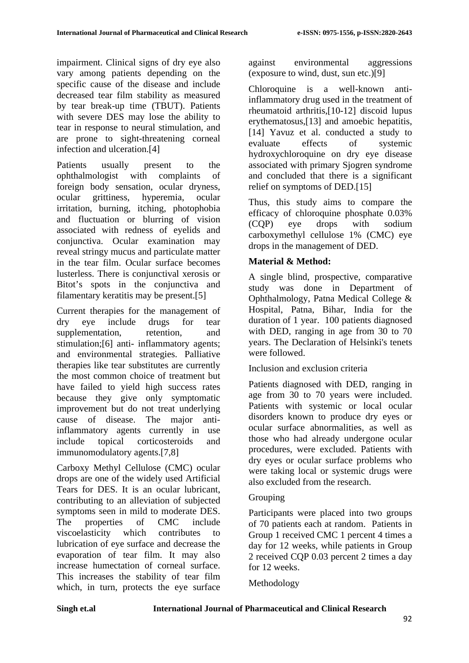impairment. Clinical signs of dry eye also vary among patients depending on the specific cause of the disease and include decreased tear film stability as measured by tear break-up time (TBUT). Patients with severe DES may lose the ability to tear in response to neural stimulation, and are prone to sight-threatening corneal infection and ulceration.[4]

Patients usually present to the ophthalmologist with complaints of foreign body sensation, ocular dryness, ocular grittiness, hyperemia, ocular irritation, burning, itching, photophobia and fluctuation or blurring of vision associated with redness of eyelids and conjunctiva. Ocular examination may reveal stringy mucus and particulate matter in the tear film. Ocular surface becomes lusterless. There is conjunctival xerosis or Bitot's spots in the conjunctiva and filamentary keratitis may be present.[5]

Current therapies for the management of dry eye include drugs for tear supplementation, retention, and stimulation;[6] anti- inflammatory agents; and environmental strategies. Palliative therapies like tear substitutes are currently the most common choice of treatment but have failed to yield high success rates because they give only symptomatic improvement but do not treat underlying cause of disease. The major antiinflammatory agents currently in use include topical corticosteroids and immunomodulatory agents.[7,8]

Carboxy Methyl Cellulose (CMC) ocular drops are one of the widely used Artificial Tears for DES. It is an ocular lubricant, contributing to an alleviation of subjected symptoms seen in mild to moderate DES. The properties of CMC include viscoelasticity which contributes to lubrication of eye surface and decrease the evaporation of tear film. It may also increase humectation of corneal surface. This increases the stability of tear film which, in turn, protects the eye surface

against environmental aggressions (exposure to wind, dust, sun etc.)[9]

Chloroquine is a well-known antiinflammatory drug used in the treatment of rheumatoid arthritis,[10-12] discoid lupus erythematosus,[13] and amoebic hepatitis, [14] Yavuz et al. conducted a study to evaluate effects of systemic hydroxychloroquine on dry eye disease associated with primary Sjogren syndrome and concluded that there is a significant relief on symptoms of DED.[15]

Thus, this study aims to compare the efficacy of chloroquine phosphate 0.03% (CQP) eye drops with sodium carboxymethyl cellulose 1% (CMC) eye drops in the management of DED.

# **Material & Method:**

A single blind, prospective, comparative study was done in Department of Ophthalmology, Patna Medical College & Hospital, Patna, Bihar, India for the duration of 1 year. 100 patients diagnosed with DED, ranging in age from 30 to 70 years. The Declaration of Helsinki's tenets were followed.

Inclusion and exclusion criteria

Patients diagnosed with DED, ranging in age from 30 to 70 years were included. Patients with systemic or local ocular disorders known to produce dry eyes or ocular surface abnormalities, as well as those who had already undergone ocular procedures, were excluded. Patients with dry eyes or ocular surface problems who were taking local or systemic drugs were also excluded from the research.

# Grouping

Participants were placed into two groups of 70 patients each at random. Patients in Group 1 received CMC 1 percent 4 times a day for 12 weeks, while patients in Group 2 received CQP 0.03 percent 2 times a day for 12 weeks.

Methodology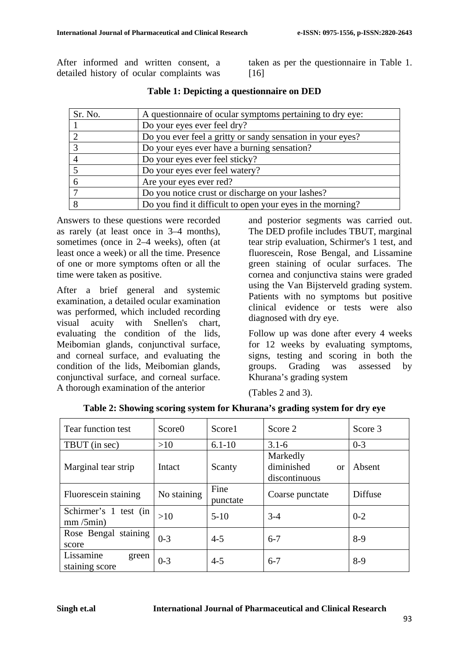After informed and written consent, a detailed history of ocular complaints was

taken as per the questionnaire in Table 1. [16]

| Sr. No. | A questionnaire of ocular symptoms pertaining to dry eye:  |
|---------|------------------------------------------------------------|
|         | Do your eyes ever feel dry?                                |
|         | Do you ever feel a gritty or sandy sensation in your eyes? |
|         | Do your eyes ever have a burning sensation?                |
|         | Do your eyes ever feel sticky?                             |
|         | Do your eyes ever feel watery?                             |
|         | Are your eyes ever red?                                    |
|         | Do you notice crust or discharge on your lashes?           |
|         | Do you find it difficult to open your eyes in the morning? |

|  |  | Table 1: Depicting a questionnaire on DED |  |
|--|--|-------------------------------------------|--|
|--|--|-------------------------------------------|--|

Answers to these questions were recorded as rarely (at least once in 3–4 months), sometimes (once in 2–4 weeks), often (at least once a week) or all the time. Presence of one or more symptoms often or all the time were taken as positive.

After a brief general and systemic examination, a detailed ocular examination was performed, which included recording visual acuity with Snellen's chart, evaluating the condition of the lids, Meibomian glands, conjunctival surface, and corneal surface, and evaluating the condition of the lids, Meibomian glands, conjunctival surface, and corneal surface. A thorough examination of the anterior

and posterior segments was carried out. The DED profile includes TBUT, marginal tear strip evaluation, Schirmer's 1 test, and fluorescein, Rose Bengal, and Lissamine green staining of ocular surfaces. The cornea and conjunctiva stains were graded using the Van Bijsterveld grading system. Patients with no symptoms but positive clinical evidence or tests were also diagnosed with dry eye.

Follow up was done after every 4 weeks for 12 weeks by evaluating symptoms, signs, testing and scoring in both the groups. Grading was assessed by Khurana's grading system

 $\overline{\phantom{a}}$ 

(Tables 2 and 3).

| Tear function test                   | Score0      | Score1           | Score 2                                              | Score 3 |
|--------------------------------------|-------------|------------------|------------------------------------------------------|---------|
| TBUT (in sec)                        | >10         | $6.1 - 10$       | $3.1 - 6$                                            | $0 - 3$ |
| Marginal tear strip                  | Intact      | Scanty           | Markedly<br>diminished<br><b>or</b><br>discontinuous | Absent  |
| Fluorescein staining                 | No staining | Fine<br>punctate | Coarse punctate                                      | Diffuse |
| Schirmer's 1 test (in<br>mm/5min)    | >10         | $5-10$           | $3-4$                                                | $0 - 2$ |
| Rose Bengal staining<br>score        | $0 - 3$     | $4 - 5$          | $6 - 7$                                              | $8-9$   |
| Lissamine<br>green<br>staining score | $0 - 3$     | $4 - 5$          | $6 - 7$                                              | $8-9$   |

**Table 2: Showing scoring system for Khurana's grading system for dry eye**  $\overline{1}$  , and the set of  $\overline{1}$ 

 $\blacksquare$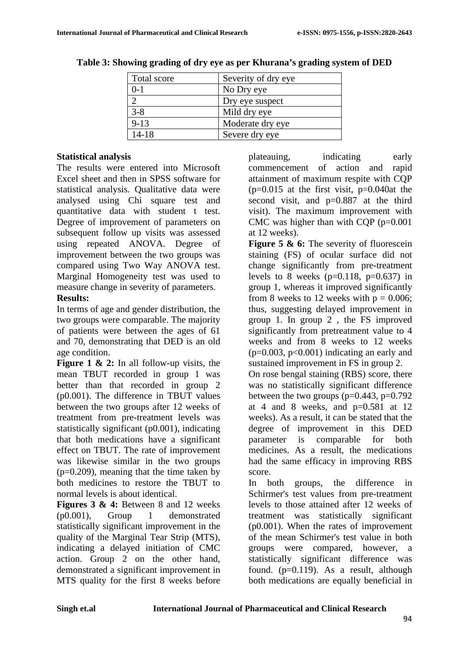| Total score | Severity of dry eye |
|-------------|---------------------|
| $0-1$       | No Dry eye          |
|             | Dry eye suspect     |
| $3 - 8$     | Mild dry eye        |
| $9 - 13$    | Moderate dry eye    |
| $14 - 18$   | Severe dry eye      |
|             |                     |

**Table 3: Showing grading of dry eye as per Khurana's grading system of DED**

## **Statistical analysis**

The results were entered into Microsoft Excel sheet and then in SPSS software for statistical analysis. Qualitative data were analysed using Chi square test and quantitative data with student t test. Degree of improvement of parameters on subsequent follow up visits was assessed using repeated ANOVA. Degree of improvement between the two groups was compared using Two Way ANOVA test. Marginal Homogeneity test was used to measure change in severity of parameters. **Results:**

In terms of age and gender distribution, the two groups were comparable. The majority of patients were between the ages of 61 and 70, demonstrating that DED is an old age condition.

**Figure 1 & 2:** In all follow-up visits, the mean TBUT recorded in group 1 was better than that recorded in group 2 (p0.001). The difference in TBUT values between the two groups after 12 weeks of treatment from pre-treatment levels was statistically significant (p0.001), indicating that both medications have a significant effect on TBUT. The rate of improvement was likewise similar in the two groups (p=0.209), meaning that the time taken by both medicines to restore the TBUT to normal levels is about identical.

**Figures 3 & 4:** Between 8 and 12 weeks (p0.001), Group 1 demonstrated statistically significant improvement in the quality of the Marginal Tear Strip (MTS), indicating a delayed initiation of CMC action. Group 2 on the other hand, demonstrated a significant improvement in MTS quality for the first 8 weeks before

plateauing, indicating early commencement of action and rapid attainment of maximum respite with CQP  $(p=0.015$  at the first visit,  $p=0.040$ at the second visit, and p=0.887 at the third visit). The maximum improvement with CMC was higher than with CQP (p=0.001 at 12 weeks).

**Figure 5 & 6:** The severity of fluorescein staining (FS) of ocular surface did not change significantly from pre-treatment levels to 8 weeks  $(p=0.118, p=0.637)$  in group 1, whereas it improved significantly from 8 weeks to 12 weeks with  $p = 0.006$ ; thus, suggesting delayed improvement in group 1. In group 2 , the FS improved significantly from pretreatment value to 4 weeks and from 8 weeks to 12 weeks  $(p=0.003, p<0.001)$  indicating an early and sustained improvement in FS in group 2.

On rose bengal staining (RBS) score, there was no statistically significant difference between the two groups ( $p=0.443$ ,  $p=0.792$ ) at 4 and 8 weeks, and  $p=0.581$  at 12 weeks). As a result, it can be stated that the degree of improvement in this DED parameter is comparable for both medicines. As a result, the medications had the same efficacy in improving RBS score.

In both groups, the difference in Schirmer's test values from pre-treatment levels to those attained after 12 weeks of treatment was statistically significant (p0.001). When the rates of improvement of the mean Schirmer's test value in both groups were compared, however, a statistically significant difference was found.  $(p=0.119)$ . As a result, although both medications are equally beneficial in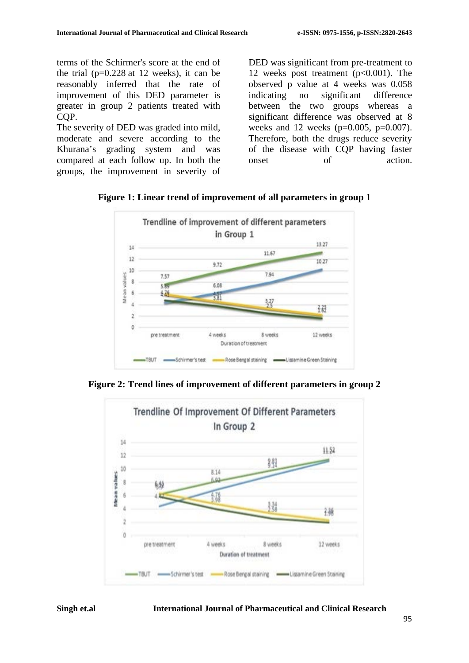terms of the Schirmer's score at the end of the trial ( $p=0.228$  at 12 weeks), it can be reasonably inferred that the rate of improvement of this DED parameter is greater in group 2 patients treated with CQP.

The severity of DED was graded into mild, moderate and severe according to the Khurana's grading system and was compared at each follow up. In both the groups, the improvement in severity of DED was significant from pre-treatment to 12 weeks post treatment (p<0.001). The observed p value at 4 weeks was 0.058 indicating no significant difference between the two groups whereas a significant difference was observed at 8 weeks and 12 weeks  $(p=0.005, p=0.007)$ . Therefore, both the drugs reduce severity of the disease with CQP having faster onset of action.



**Figure 1: Linear trend of improvement of all parameters in group 1**

**Figure 2: Trend lines of improvement of different parameters in group 2**

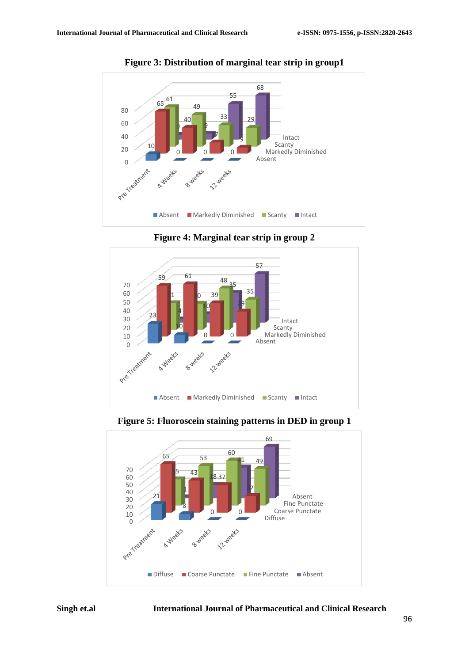

**Figure 3: Distribution of marginal tear strip in group1**

**Figure 4: Marginal tear strip in group 2**



**Figure 5: Fluoroscein staining patterns in DED in group 1**



## **Singh et.al International Journal of Pharmaceutical and Clinical Research**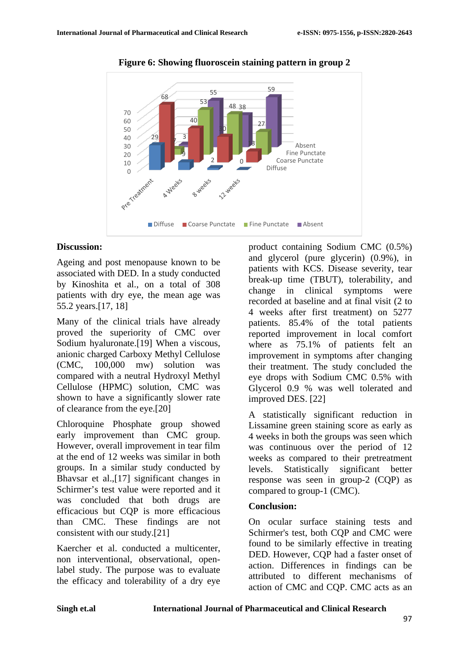

**Figure 6: Showing fluoroscein staining pattern in group 2**

## **Discussion:**

Ageing and post menopause known to be associated with DED. In a study conducted by Kinoshita et al., on a total of 308 patients with dry eye, the mean age was 55.2 years.[17, 18]

Many of the clinical trials have already proved the superiority of CMC over Sodium hyaluronate.[19] When a viscous, anionic charged Carboxy Methyl Cellulose (CMC, 100,000 mw) solution was compared with a neutral Hydroxyl Methyl Cellulose (HPMC) solution, CMC was shown to have a significantly slower rate of clearance from the eye.[20]

Chloroquine Phosphate group showed early improvement than CMC group. However, overall improvement in tear film at the end of 12 weeks was similar in both groups. In a similar study conducted by Bhavsar et al.,[17] significant changes in Schirmer's test value were reported and it was concluded that both drugs are efficacious but CQP is more efficacious than CMC. These findings are not consistent with our study.[21]

Kaercher et al. conducted a multicenter, non interventional, observational, openlabel study. The purpose was to evaluate the efficacy and tolerability of a dry eye

product containing Sodium CMC (0.5%) and glycerol (pure glycerin) (0.9%), in patients with KCS. Disease severity, tear break-up time (TBUT), tolerability, and change in clinical symptoms were recorded at baseline and at final visit (2 to 4 weeks after first treatment) on 5277 patients. 85.4% of the total patients reported improvement in local comfort where as 75.1% of patients felt an improvement in symptoms after changing their treatment. The study concluded the eye drops with Sodium CMC 0.5% with Glycerol 0.9 % was well tolerated and improved DES. [22]

A statistically significant reduction in Lissamine green staining score as early as 4 weeks in both the groups was seen which was continuous over the period of 12 weeks as compared to their pretreatment levels. Statistically significant better response was seen in group-2 (CQP) as compared to group-1 (CMC).

#### **Conclusion:**

On ocular surface staining tests and Schirmer's test, both CQP and CMC were found to be similarly effective in treating DED. However, CQP had a faster onset of action. Differences in findings can be attributed to different mechanisms of action of CMC and CQP. CMC acts as an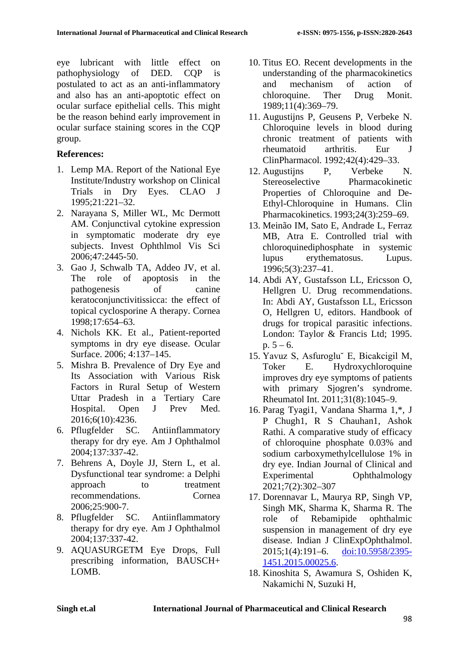eye lubricant with little effect on pathophysiology of DED. CQP is postulated to act as an anti-inflammatory and also has an anti-apoptotic effect on ocular surface epithelial cells. This might be the reason behind early improvement in ocular surface staining scores in the CQP group.

# **References:**

- 1. Lemp MA. Report of the National Eye Institute/Industry workshop on Clinical Trials in Dry Eyes. CLAO J 1995;21:221–32.
- 2. Narayana S, Miller WL, Mc Dermott AM. Conjunctival cytokine expression in symptomatic moderate dry eye subjects. Invest Ophthlmol Vis Sci 2006;47:2445-50.
- 3. Gao J, Schwalb TA, Addeo JV, et al. The role of apoptosis in the pathogenesis of canine keratoconjunctivitissicca: the effect of topical cyclosporine A therapy. Cornea 1998;17:654–63.
- 4. Nichols KK. Et al., Patient-reported symptoms in dry eye disease. Ocular Surface. 2006; 4:137–145.
- 5. Mishra B. Prevalence of Dry Eye and Its Association with Various Risk Factors in Rural Setup of Western Uttar Pradesh in a Tertiary Care Hospital. Open J Prev Med. 2016;6(10):4236.
- 6. Pflugfelder SC. Antiinflammatory therapy for dry eye. Am J Ophthalmol 2004;137:337-42.
- 7. Behrens A, Doyle JJ, Stern L, et al. Dysfunctional tear syndrome: a Delphi approach to treatment recommendations. Cornea 2006;25:900-7.
- 8. Pflugfelder SC. Antiinflammatory therapy for dry eye. Am J Ophthalmol 2004;137:337-42.
- 9. AQUASURGETM Eye Drops, Full prescribing information, BAUSCH+ LOMB.
- 10. Titus EO. Recent developments in the understanding of the pharmacokinetics and mechanism of action of chloroquine. Ther Drug Monit. 1989;11(4):369–79.
- 11. Augustijns P, Geusens P, Verbeke N. Chloroquine levels in blood during chronic treatment of patients with rheumatoid arthritis. Eur J ClinPharmacol. 1992;42(4):429–33.
- 12. Augustijns P, Verbeke N. Stereoselective Pharmacokinetic Properties of Chloroquine and De-Ethyl-Chloroquine in Humans. Clin Pharmacokinetics. 1993;24(3):259–69.
- 13. Meinão IM, Sato E, Andrade L, Ferraz MB, Atra E. Controlled trial with chloroquinediphosphate in systemic lupus erythematosus. Lupus. 1996;5(3):237–41.
- 14. Abdi AY, Gustafsson LL, Ericsson O, Hellgren U. Drug recommendations. In: Abdi AY, Gustafsson LL, Ericsson O, Hellgren U, editors. Handbook of drugs for tropical parasitic infections. London: Taylor & Francis Ltd; 1995. p.  $5 - 6$ .
- 15. Yavuz S, Asfuroglu˘ E, Bicakcigil M, Toker E. Hydroxychloroquine improves dry eye symptoms of patients with primary Sjogren's syndrome. Rheumatol Int. 2011;31(8):1045–9.
- 16. Parag Tyagi1, Vandana Sharma 1,\*, J P Chugh1, R S Chauhan1, Ashok Rathi. A comparative study of efficacy of chloroquine phosphate 0.03% and sodium carboxymethylcellulose 1% in dry eye. Indian Journal of Clinical and Experimental Ophthalmology 2021;7(2):302–307
- 17. Dorennavar L, Maurya RP, Singh VP, Singh MK, Sharma K, Sharma R. The role of Rebamipide ophthalmic suspension in management of dry eye disease. Indian J ClinExpOphthalmol. 2015;1(4):191–6. [doi:10.5958/2395-](http://dx.doi.org/10.5958/2395-1451.2015.00025.6) [1451.2015.00025.6.](http://dx.doi.org/10.5958/2395-1451.2015.00025.6)
- 18. Kinoshita S, Awamura S, Oshiden K, Nakamichi N, Suzuki H,